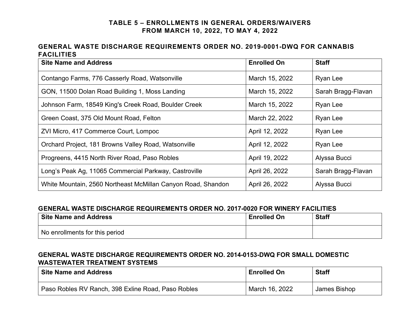## **TABLE 5 – ENROLLMENTS IN GENERAL ORDERS/WAIVERS FROM MARCH 10, 2022, TO MAY 4, 2022**

## **GENERAL WASTE DISCHARGE REQUIREMENTS ORDER NO. 2019-0001-DWQ FOR CANNABIS FACILITIES**

| <b>Site Name and Address</b>                                 | <b>Enrolled On</b> | <b>Staff</b>       |
|--------------------------------------------------------------|--------------------|--------------------|
| Contango Farms, 776 Casserly Road, Watsonville               | March 15, 2022     | Ryan Lee           |
| GON, 11500 Dolan Road Building 1, Moss Landing               | March 15, 2022     | Sarah Bragg-Flavan |
| Johnson Farm, 18549 King's Creek Road, Boulder Creek         | March 15, 2022     | Ryan Lee           |
| Green Coast, 375 Old Mount Road, Felton                      | March 22, 2022     | Ryan Lee           |
| ZVI Micro, 417 Commerce Court, Lompoc                        | April 12, 2022     | Ryan Lee           |
| Orchard Project, 181 Browns Valley Road, Watsonville         | April 12, 2022     | Ryan Lee           |
| Progreens, 4415 North River Road, Paso Robles                | April 19, 2022     | Alyssa Bucci       |
| Long's Peak Ag, 11065 Commercial Parkway, Castroville        | April 26, 2022     | Sarah Bragg-Flavan |
| White Mountain, 2560 Northeast McMillan Canyon Road, Shandon | April 26, 2022     | Alyssa Bucci       |

#### **GENERAL WASTE DISCHARGE REQUIREMENTS ORDER NO. 2017-0020 FOR WINERY FACILITIES**

| <b>Site Name and Address</b>   | <b>Enrolled On</b> | <b>Staff</b> |
|--------------------------------|--------------------|--------------|
| No enrollments for this period |                    |              |

### **GENERAL WASTE DISCHARGE REQUIREMENTS ORDER NO. 2014-0153-DWQ FOR SMALL DOMESTIC WASTEWATER TREATMENT SYSTEMS**

| <b>Site Name and Address</b>                       | <b>Enrolled On</b> | <b>Staff</b> |
|----------------------------------------------------|--------------------|--------------|
| Paso Robles RV Ranch, 398 Exline Road, Paso Robles | March 16, 2022     | James Bishop |